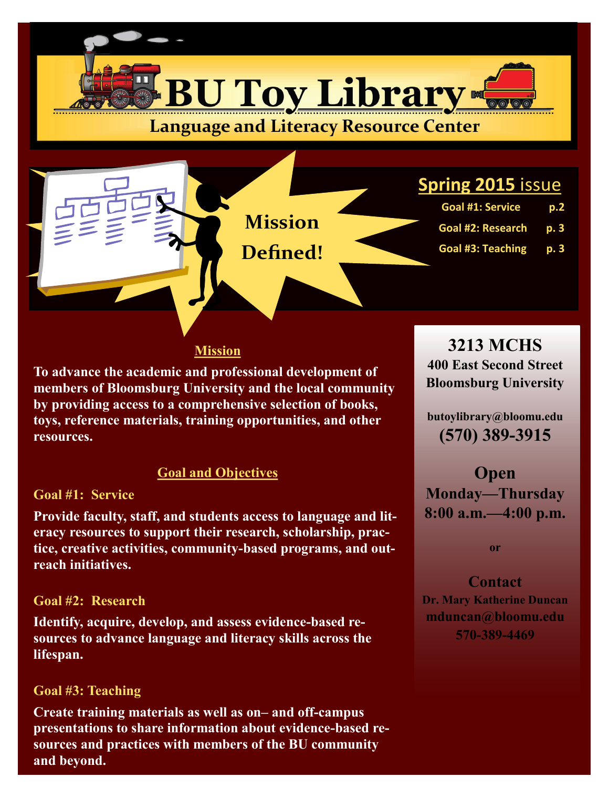

#### **Mission**

**To advance the academic and professional development of members of Bloomsburg University and the local community by providing access to a comprehensive selection of books, toys, reference materials, training opportunities, and other resources.**

#### **Goal and Objectives**

#### **Goal #1: Service**

**Provide faculty, staff, and students access to language and literacy resources to support their research, scholarship, practice, creative activities, community-based programs, and outreach initiatives.**

#### **Goal #2: Research**

**Identify, acquire, develop, and assess evidence-based resources to advance language and literacy skills across the lifespan.**

#### **Goal #3: Teaching**

**Create training materials as well as on– and off-campus presentations to share information about evidence-based resources and practices with members of the BU community and beyond.**

**3213 MCHS**

**400 East Second Street Bloomsburg University** 

**butoylibrary@bloomu.edu (570) 389-3915**

**Open Monday—Thursday 8:00 a.m.—4:00 p.m.**

**or**

**Contact Dr. Mary Katherine Duncan mduncan@bloomu.edu 570-389-4469**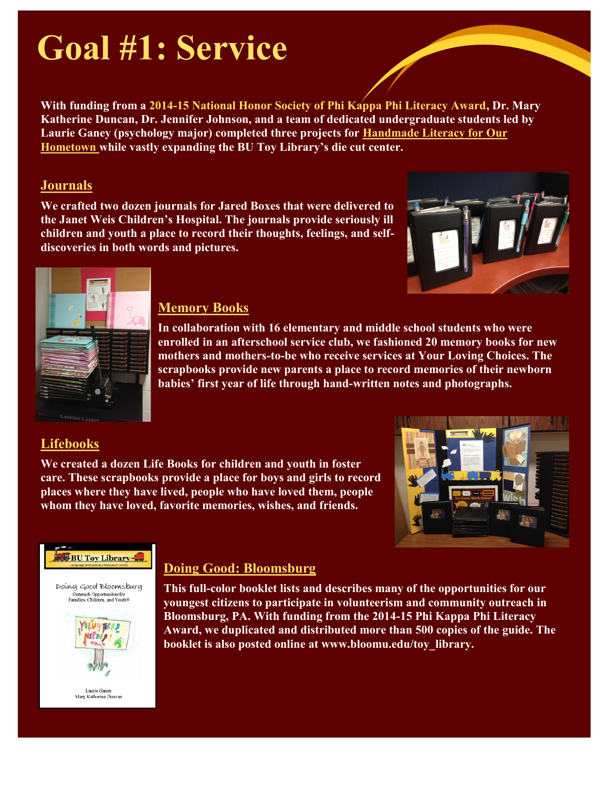# **Goal #1: Service**

**With funding from a 2014-15 National Honor Society of Phi Kappa Phi Literacy Award, Dr. Mary Katherine Duncan, Dr. Jennifer Johnson, and a team of dedicated undergraduate students led by Laurie Ganey (psychology major) completed three projects for Handmade Literacy for Our Hometown while vastly expanding the BU Toy Library's die cut center.** 

#### **Journals**

**We crafted two dozen journals for Jared Boxes that were delivered to the Janet Weis Children's Hospital. The journals provide seriously ill children and youth a place to record their thoughts, feelings, and selfdiscoveries in both words and pictures.**





#### **Memory Books**

**In collaboration with 16 elementary and middle school students who were enrolled in an afterschool service club, we fashioned 20 memory books for new mothers and mothers-to-be who receive services at Your Loving Choices. The scrapbooks provide new parents a place to record memories of their newborn babies' first year of life through hand-written notes and photographs.**

## **Lifebooks**

**We created a dozen Life Books for children and youth in foster care. These scrapbooks provide a place for boys and girls to record places where they have lived, people who have loved them, people whom they have loved, favorite memories, wishes, and friends.**





## **Doing Good: Bloomsburg**

**This full-color booklet lists and describes many of the opportunities for our youngest citizens to participate in volunteerism and community outreach in Bloomsburg, PA. With funding from the 2014-15 Phi Kappa Phi Literacy Award, we duplicated and distributed more than 500 copies of the guide. The booklet is also posted online at www.bloomu.edu/toy\_library.**